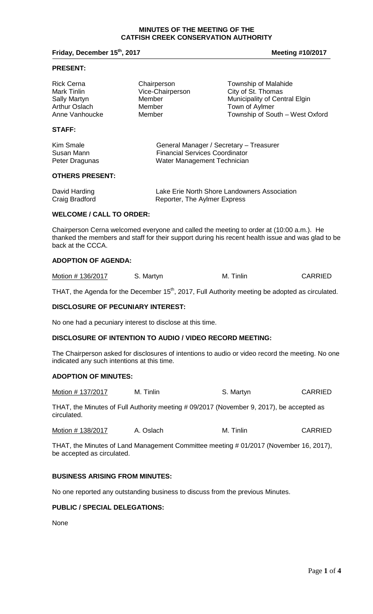#### **MINUTES OF THE MEETING OF THE CATFISH CREEK CONSERVATION AUTHORITY**

## **Friday, December 15th, 2017 Meeting #10/2017**

#### **PRESENT:**

| <b>Rick Cerna</b> | Chairperson      | Township of Malahide            |
|-------------------|------------------|---------------------------------|
| Mark Tinlin       | Vice-Chairperson | City of St. Thomas              |
| Sally Martyn      | Member           | Municipality of Central Elgin   |
| Arthur Oslach     | Member           | Town of Aylmer                  |
| Anne Vanhoucke    | Member           | Township of South - West Oxford |
|                   |                  |                                 |

# **STAFF:**

| Kim Smale      | General Manager / Secretary - Treasurer |
|----------------|-----------------------------------------|
| Susan Mann     | <b>Financial Services Coordinator</b>   |
| Peter Dragunas | Water Management Technician             |

## **OTHERS PRESENT:**

| David Harding  | Lake Erie North Shore Landowners Association |
|----------------|----------------------------------------------|
| Craig Bradford | Reporter, The Aylmer Express                 |

#### **WELCOME / CALL TO ORDER:**

Chairperson Cerna welcomed everyone and called the meeting to order at (10:00 a.m.). He thanked the members and staff for their support during his recent health issue and was glad to be back at the CCCA.

# **ADOPTION OF AGENDA:**

| Motion #136/2017 | S. Martyn | M. Tinlin | <b>CARRIED</b> |
|------------------|-----------|-----------|----------------|
|------------------|-----------|-----------|----------------|

THAT, the Agenda for the December 15<sup>th</sup>, 2017, Full Authority meeting be adopted as circulated.

## **DISCLOSURE OF PECUNIARY INTEREST:**

No one had a pecuniary interest to disclose at this time.

## **DISCLOSURE OF INTENTION TO AUDIO / VIDEO RECORD MEETING:**

The Chairperson asked for disclosures of intentions to audio or video record the meeting. No one indicated any such intentions at this time.

# **ADOPTION OF MINUTES:**

| Motion # 137/2017 | M. Tinlin | S. Martyn | <b>CARRIED</b> |
|-------------------|-----------|-----------|----------------|
|-------------------|-----------|-----------|----------------|

THAT, the Minutes of Full Authority meeting # 09/2017 (November 9, 2017), be accepted as circulated.

| Motion # 138/2017 | A. Oslach | M. Tinlin | <b>CARRIED</b> |
|-------------------|-----------|-----------|----------------|
|                   |           |           |                |

THAT, the Minutes of Land Management Committee meeting # 01/2017 (November 16, 2017), be accepted as circulated.

# **BUSINESS ARISING FROM MINUTES:**

No one reported any outstanding business to discuss from the previous Minutes.

## **PUBLIC / SPECIAL DELEGATIONS:**

None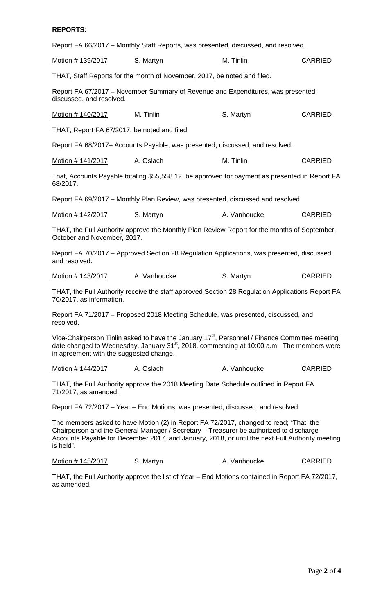## **REPORTS:**

Report FA 66/2017 – Monthly Staff Reports, was presented, discussed, and resolved.

Motion # 139/2017 S. Martyn M. Tinlin CARRIED

THAT, Staff Reports for the month of November, 2017, be noted and filed.

Report FA 67/2017 – November Summary of Revenue and Expenditures, was presented, discussed, and resolved.

Motion # 140/2017 M. Tinlin S. Martyn S. Martyn CARRIED

THAT, Report FA 67/2017, be noted and filed.

Report FA 68/2017– Accounts Payable, was presented, discussed, and resolved.

| Motion # 141/2017 | A. Oslach | M. Tinlin | <b>CARRIED</b> |
|-------------------|-----------|-----------|----------------|
|-------------------|-----------|-----------|----------------|

That, Accounts Payable totaling \$55,558.12, be approved for payment as presented in Report FA 68/2017.

Report FA 69/2017 – Monthly Plan Review, was presented, discussed and resolved.

Motion # 142/2017 S. Martyn C. A. Vanhoucke CARRIED

THAT, the Full Authority approve the Monthly Plan Review Report for the months of September, October and November, 2017.

Report FA 70/2017 – Approved Section 28 Regulation Applications, was presented, discussed, and resolved.

Motion # 143/2017 A. Vanhoucke S. Martyn S. Martyn CARRIED

THAT, the Full Authority receive the staff approved Section 28 Regulation Applications Report FA 70/2017, as information.

Report FA 71/2017 – Proposed 2018 Meeting Schedule, was presented, discussed, and resolved.

Vice-Chairperson Tinlin asked to have the January  $17<sup>th</sup>$ , Personnel / Finance Committee meeting date changed to Wednesday, January  $31<sup>st</sup>$ , 2018, commencing at 10:00 a.m. The members were in agreement with the suggested change.

Motion # 144/2017 A. Oslach A. Vanhoucke CARRIED

THAT, the Full Authority approve the 2018 Meeting Date Schedule outlined in Report FA 71/2017, as amended.

Report FA 72/2017 – Year – End Motions, was presented, discussed, and resolved.

The members asked to have Motion (2) in Report FA 72/2017, changed to read; "That, the Chairperson and the General Manager / Secretary – Treasurer be authorized to discharge Accounts Payable for December 2017, and January, 2018, or until the next Full Authority meeting is held".

Motion # 145/2017 S. Martyn B. A. Vanhoucke CARRIED

THAT, the Full Authority approve the list of Year – End Motions contained in Report FA 72/2017, as amended.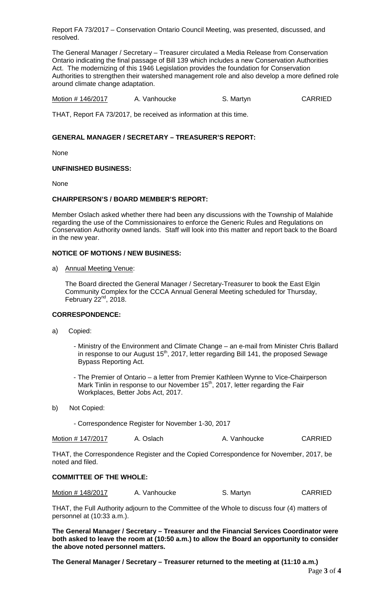Report FA 73/2017 – Conservation Ontario Council Meeting, was presented, discussed, and resolved.

The General Manager / Secretary – Treasurer circulated a Media Release from Conservation Ontario indicating the final passage of Bill 139 which includes a new Conservation Authorities Act. The modernizing of this 1946 Legislation provides the foundation for Conservation Authorities to strengthen their watershed management role and also develop a more defined role around climate change adaptation.

Motion # 146/2017 A. Vanhoucke S. Martyn S. Martyn

THAT, Report FA 73/2017, be received as information at this time.

# **GENERAL MANAGER / SECRETARY – TREASURER'S REPORT:**

None

## **UNFINISHED BUSINESS:**

None

## **CHAIRPERSON'S / BOARD MEMBER'S REPORT:**

Member Oslach asked whether there had been any discussions with the Township of Malahide regarding the use of the Commissionaires to enforce the Generic Rules and Regulations on Conservation Authority owned lands. Staff will look into this matter and report back to the Board in the new year.

## **NOTICE OF MOTIONS / NEW BUSINESS:**

a) Annual Meeting Venue:

The Board directed the General Manager / Secretary-Treasurer to book the East Elgin Community Complex for the CCCA Annual General Meeting scheduled for Thursday, February  $22^{nd}$ , 2018.

# **CORRESPONDENCE:**

- a) Copied:
	- Ministry of the Environment and Climate Change an e-mail from Minister Chris Ballard in response to our August  $15<sup>th</sup>$ , 2017, letter regarding Bill 141, the proposed Sewage Bypass Reporting Act.
	- The Premier of Ontario a letter from Premier Kathleen Wynne to Vice-Chairperson Mark Tinlin in response to our November 15<sup>th</sup>, 2017, letter regarding the Fair Workplaces, Better Jobs Act, 2017.
- b) Not Copied:
	- Correspondence Register for November 1-30, 2017

| Motion # 147/2017<br>A. Oslach | A. Vanhoucke | <b>CARRIED</b> |
|--------------------------------|--------------|----------------|
|--------------------------------|--------------|----------------|

THAT, the Correspondence Register and the Copied Correspondence for November, 2017, be noted and filed.

## **COMMITTEE OF THE WHOLE:**

| Motion # 148/2017 | A. Vanhoucke | S. Martyn | <b>CARRIED</b> |
|-------------------|--------------|-----------|----------------|
|-------------------|--------------|-----------|----------------|

THAT, the Full Authority adjourn to the Committee of the Whole to discuss four (4) matters of personnel at (10:33 a.m.).

**The General Manager / Secretary – Treasurer and the Financial Services Coordinator were both asked to leave the room at (10:50 a.m.) to allow the Board an opportunity to consider the above noted personnel matters.**

**The General Manager / Secretary – Treasurer returned to the meeting at (11:10 a.m.)**